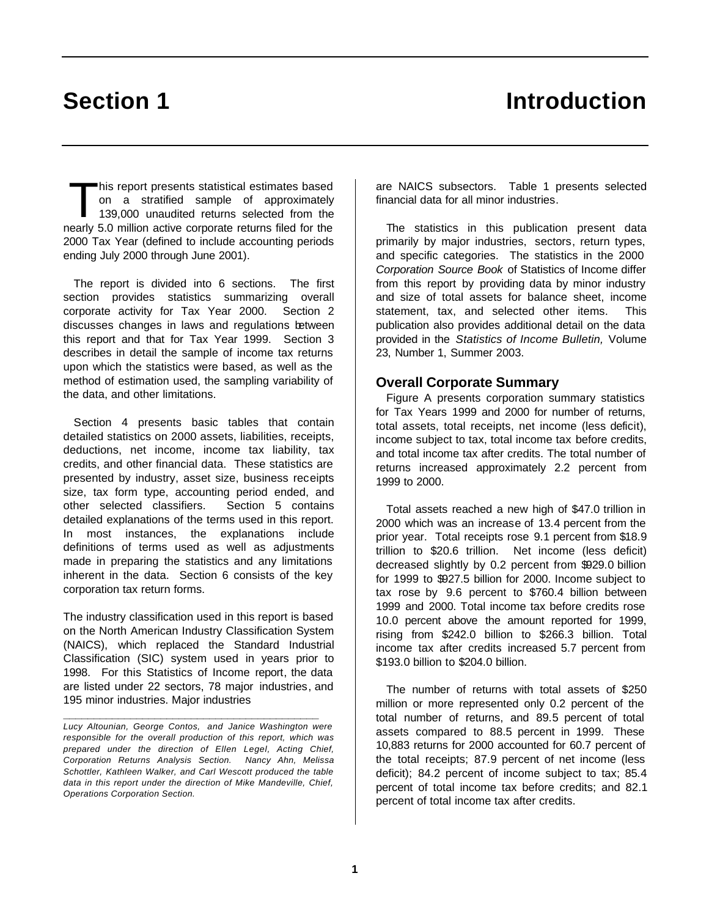# **Section 1 Introduction**

his report presents statistical estimates based on a stratified sample of approximately 139,000 unaudited returns selected from the his report presents statistical estimates based<br>on a stratified sample of approximately<br>139,000 unaudited returns selected from the<br>nearly 5.0 million active corporate returns filed for the 2000 Tax Year (defined to include accounting periods ending July 2000 through June 2001).

The report is divided into 6 sections. The first section provides statistics summarizing overall corporate activity for Tax Year 2000. Section 2 discusses changes in laws and regulations between this report and that for Tax Year 1999. Section 3 describes in detail the sample of income tax returns upon which the statistics were based, as well as the method of estimation used, the sampling variability of the data, and other limitations.

Section 4 presents basic tables that contain detailed statistics on 2000 assets, liabilities, receipts, deductions, net income, income tax liability, tax credits, and other financial data. These statistics are presented by industry, asset size, business receipts size, tax form type, accounting period ended, and other selected classifiers. Section 5 contains detailed explanations of the terms used in this report. In most instances, the explanations include definitions of terms used as well as adjustments made in preparing the statistics and any limitations inherent in the data. Section 6 consists of the key corporation tax return forms.

The industry classification used in this report is based on the North American Industry Classification System (NAICS), which replaced the Standard Industrial Classification (SIC) system used in years prior to 1998. For this Statistics of Income report, the data are listed under 22 sectors, 78 major industries, and 195 minor industries. Major industries

**\_\_\_\_\_\_\_\_\_\_\_\_\_\_\_\_\_\_\_\_\_\_\_\_\_\_\_\_\_\_\_\_\_\_\_\_\_\_\_\_\_\_**

are NAICS subsectors. Table 1 presents selected financial data for all minor industries.

The statistics in this publication present data primarily by major industries, sectors, return types, and specific categories. The statistics in the 2000 *Corporation Source Book* of Statistics of Income differ from this report by providing data by minor industry and size of total assets for balance sheet, income statement, tax, and selected other items. This publication also provides additional detail on the data provided in the *Statistics of Income Bulletin,* Volume 23, Number 1, Summer 2003.

# **Overall Corporate Summary**

Figure A presents corporation summary statistics for Tax Years 1999 and 2000 for number of returns, total assets, total receipts, net income (less deficit), income subject to tax, total income tax before credits, and total income tax after credits. The total number of returns increased approximately 2.2 percent from 1999 to 2000.

Total assets reached a new high of \$47.0 trillion in 2000 which was an increase of 13.4 percent from the prior year. Total receipts rose 9.1 percent from \$18.9 trillion to \$20.6 trillion. Net income (less deficit) decreased slightly by 0.2 percent from \$929.0 billion for 1999 to \$927.5 billion for 2000. Income subject to tax rose by 9.6 percent to \$760.4 billion between 1999 and 2000. Total income tax before credits rose 10.0 percent above the amount reported for 1999, rising from \$242.0 billion to \$266.3 billion. Total income tax after credits increased 5.7 percent from \$193.0 billion to \$204.0 billion.

The number of returns with total assets of \$250 million or more represented only 0.2 percent of the total number of returns, and 89.5 percent of total assets compared to 88.5 percent in 1999. These 10,883 returns for 2000 accounted for 60.7 percent of the total receipts; 87.9 percent of net income (less deficit); 84.2 percent of income subject to tax; 85.4 percent of total income tax before credits; and 82.1 percent of total income tax after credits.

*Lucy Altounian, George Contos, and Janice Washington were responsible for the overall production of this report, which was prepared under the direction of Ellen Legel, Acting Chief, Corporation Returns Analysis Section. Nancy Ahn, Melissa Schottler, Kathleen Walker, and Carl Wescott produced the table data in this report under the direction of Mike Mandeville, Chief, Operations Corporation Section.*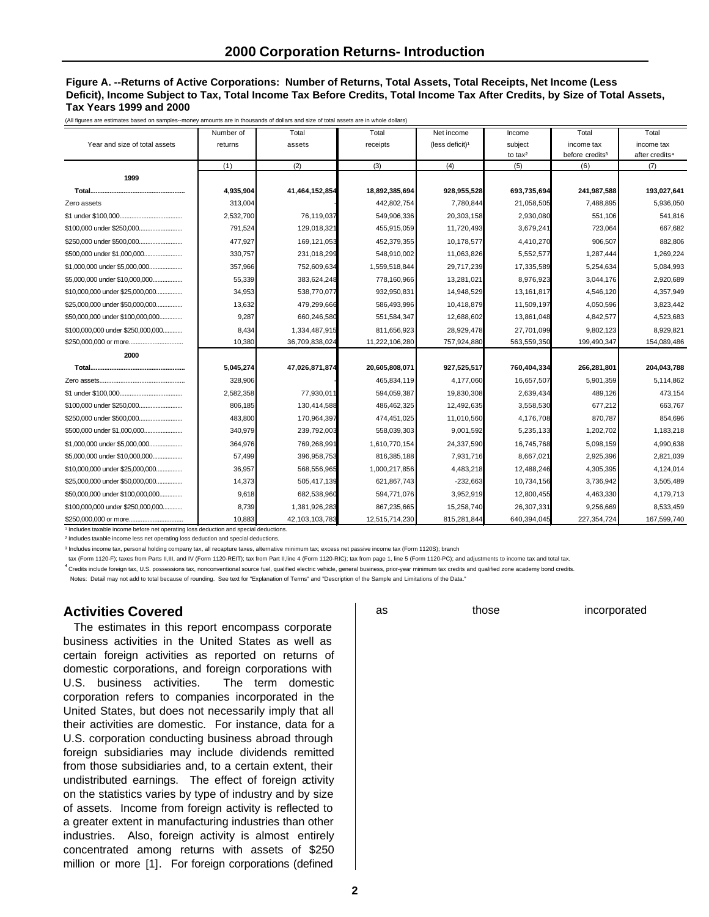## **Figure A. --Returns of Active Corporations: Number of Returns, Total Assets, Total Receipts, Net Income (Less Deficit), Income Subject to Tax, Total Income Tax Before Credits, Total Income Tax After Credits, by Size of Total Assets, Tax Years 1999 and 2000**

(All figures are estimates based on samples--money amounts are in thousands of dollars and size of total assets are in whole dollars)

|                                   | Number of | Total          | Total          | Net income                  | Income      | Total                       | Total                      |
|-----------------------------------|-----------|----------------|----------------|-----------------------------|-------------|-----------------------------|----------------------------|
| Year and size of total assets     | returns   | assets         | receipts       | (less deficit) <sup>1</sup> | subject     | income tax                  | income tax                 |
|                                   |           |                |                |                             | to $tax^2$  | before credits <sup>3</sup> | after credits <sup>4</sup> |
|                                   | (1)       | (2)            | (3)            | (4)                         | (5)         | (6)                         | (7)                        |
| 1999                              |           |                |                |                             |             |                             |                            |
|                                   | 4,935,904 | 41,464,152,854 | 18,892,385,694 | 928,955,528                 | 693,735,694 | 241,987,588                 | 193,027,641                |
| Zero assets                       | 313,004   |                | 442,802,754    | 7,780,844                   | 21,058,505  | 7,488,895                   | 5,936,050                  |
|                                   | 2,532,700 | 76.119.037     | 549,906,336    | 20.303.158                  | 2,930,080   | 551.106                     | 541.816                    |
| \$100,000 under \$250,000         | 791,524   | 129,018,321    | 455,915,059    | 11,720,493                  | 3,679,241   | 723,064                     | 667,682                    |
| \$250,000 under \$500,000         | 477,927   | 169,121,053    | 452,379,355    | 10,178,577                  | 4,410,270   | 906,507                     | 882,806                    |
|                                   | 330,757   | 231,018,299    | 548,910,002    | 11,063,826                  | 5,552,577   | 1,287,444                   | 1,269,224                  |
| \$1,000,000 under \$5,000,000     | 357,966   | 752,609,634    | 1,559,518,844  | 29,717,239                  | 17,335,589  | 5,254,634                   | 5,084,993                  |
| \$5,000,000 under \$10,000,000    | 55,339    | 383,624,248    | 778,160,966    | 13,281,021                  | 8,976,923   | 3,044,176                   | 2,920,689                  |
| \$10,000,000 under \$25,000,000   | 34,953    | 538,770,077    | 932,950,831    | 14,948,529                  | 13,161,817  | 4,546,120                   | 4,357,949                  |
| \$25,000,000 under \$50,000,000   | 13,632    | 479,299,666    | 586,493,996    | 10,418,879                  | 11,509,197  | 4,050,596                   | 3,823,442                  |
| \$50,000,000 under \$100,000,000  | 9,287     | 660,246,580    | 551,584,347    | 12,688,602                  | 13,861,048  | 4,842,577                   | 4,523,683                  |
| \$100,000,000 under \$250,000,000 | 8,434     | 1,334,487,915  | 811,656,923    | 28,929,478                  | 27,701,099  | 9,802,123                   | 8,929,821                  |
|                                   | 10,380    | 36,709,838,024 | 11,222,106,280 | 757,924,880                 | 563,559,350 | 199,490,347                 | 154,089,486                |
| 2000                              |           |                |                |                             |             |                             |                            |
|                                   | 5,045,274 | 47,026,871,874 | 20,605,808,071 | 927,525,517                 | 760,404,334 | 266,281,801                 | 204,043,788                |
|                                   | 328,906   |                | 465,834,119    | 4,177,060                   | 16,657,507  | 5,901,359                   | 5,114,862                  |
|                                   | 2,582,358 | 77,930,011     | 594,059,387    | 19,830,308                  | 2,639,434   | 489,126                     | 473,154                    |
| \$100.000 under \$250.000         | 806,185   | 130,414,588    | 486,462,325    | 12,492,635                  | 3,558,530   | 677,212                     | 663,767                    |
| \$250,000 under \$500,000         | 483,800   | 170,964,397    | 474,451,025    | 11,010,560                  | 4,176,708   | 870,787                     | 854,696                    |
| \$500,000 under \$1,000,000       | 340,979   | 239,792,003    | 558,039,303    | 9,001,592                   | 5,235,133   | 1,202,702                   | 1,183,218                  |
| \$1,000,000 under \$5,000,000     | 364,976   | 769,268,991    | 1,610,770,154  | 24,337,590                  | 16,745,768  | 5,098,159                   | 4,990,638                  |
| \$5,000,000 under \$10,000,000    | 57,499    | 396,958,753    | 816,385,188    | 7,931,716                   | 8,667,021   | 2,925,396                   | 2,821,039                  |
| \$10,000,000 under \$25,000,000   | 36,957    | 568,556,965    | 1,000,217,856  | 4,483,218                   | 12,488,246  | 4,305,395                   | 4,124,014                  |
| \$25,000,000 under \$50,000,000   | 14,373    | 505,417,139    | 621,867,743    | $-232,663$                  | 10,734,156  | 3,736,942                   | 3,505,489                  |
| \$50,000,000 under \$100,000,000  | 9,618     | 682,538,960    | 594,771,076    | 3,952,919                   | 12,800,455  | 4,463,330                   | 4,179,713                  |
| \$100.000.000 under \$250.000.000 | 8,739     | 1,381,926,283  | 867.235.665    | 15,258,740                  | 26,307,331  | 9,256,669                   | 8,533,459                  |
|                                   | 10,883    | 42,103,103,783 | 12,515,714,230 | 815,281,844                 | 640,394,045 | 227,354,724                 | 167,599,740                |

<sup>1</sup> Includes taxable income before net operating loss deduction and special deductions.

² Includes taxable income less net operating loss deduction and special deductions.

<sup>3</sup> Includes income tax, personal holding company tax, all recapture taxes, alternative minimum tax; excess net passive income tax (Form 1120S); branch

tax (Form 1120-F); taxes from Parts II,III, and IV (Form 1120-REIT); tax from Part II,line 4 (Form 1120-RIC); tax from page 1, line 5 (Form 1120-PC); and adjustments to income tax and total tax.

<sup>4</sup> Credits include foreign tax, U.S. possessions tax, nonconventional source fuel, qualified electric vehicle, general business, prior-year minimum tax credits and qualified zone academy bond credits.

Notes: Detail may not add to total because of rounding. See text for "Explanation of Terms" and "Description of the Sample and Limitations of the Data."

# **Activities Covered**

The estimates in this report encompass corporate business activities in the United States as well as certain foreign activities as reported on returns of domestic corporations, and foreign corporations with U.S. business activities. The term domestic corporation refers to companies incorporated in the United States, but does not necessarily imply that all their activities are domestic. For instance, data for a U.S. corporation conducting business abroad through foreign subsidiaries may include dividends remitted from those subsidiaries and, to a certain extent, their undistributed earnings. The effect of foreign activity on the statistics varies by type of industry and by size of assets. Income from foreign activity is reflected to a greater extent in manufacturing industries than other industries. Also, foreign activity is almost entirely concentrated among returns with assets of \$250 million or more [1]. For foreign corporations (defined

as those incorporated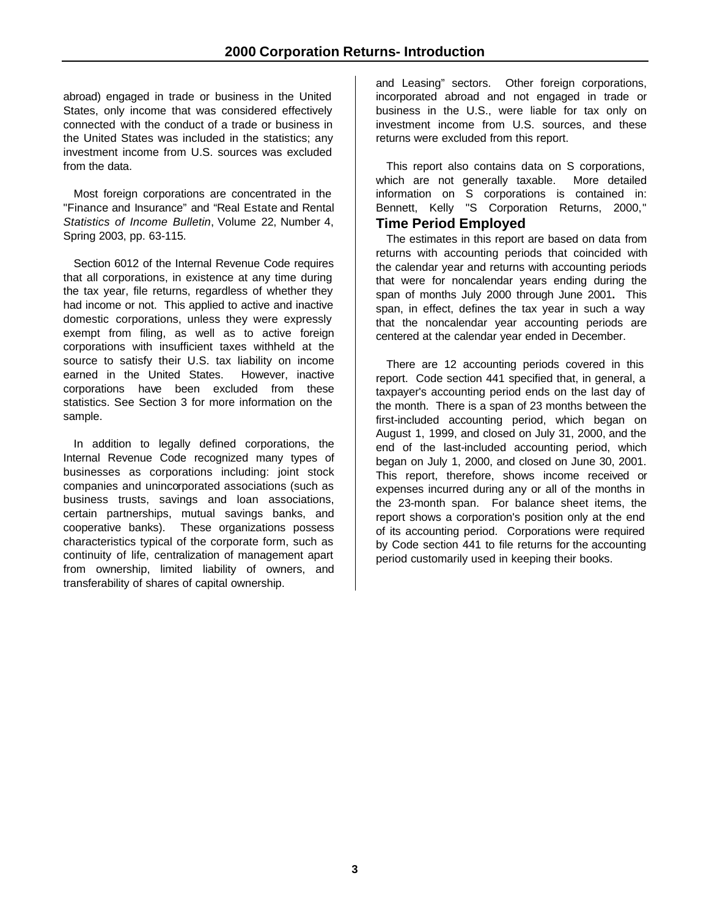abroad) engaged in trade or business in the United States, only income that was considered effectively connected with the conduct of a trade or business in the United States was included in the statistics; any investment income from U.S. sources was excluded from the data.

Most foreign corporations are concentrated in the "Finance and Insurance" and "Real Estate and Rental *Statistics of Income Bulletin*, Volume 22, Number 4, Spring 2003, pp. 63-115.

Section 6012 of the Internal Revenue Code requires that all corporations, in existence at any time during the tax year, file returns, regardless of whether they had income or not. This applied to active and inactive domestic corporations, unless they were expressly exempt from filing, as well as to active foreign corporations with insufficient taxes withheld at the source to satisfy their U.S. tax liability on income earned in the United States. However, inactive corporations have been excluded from these statistics. See Section 3 for more information on the sample.

In addition to legally defined corporations, the Internal Revenue Code recognized many types of businesses as corporations including: joint stock companies and unincorporated associations (such as business trusts, savings and loan associations, certain partnerships, mutual savings banks, and cooperative banks). These organizations possess characteristics typical of the corporate form, such as continuity of life, centralization of management apart from ownership, limited liability of owners, and transferability of shares of capital ownership.

and Leasing" sectors. Other foreign corporations, incorporated abroad and not engaged in trade or business in the U.S., were liable for tax only on investment income from U.S. sources, and these returns were excluded from this report.

This report also contains data on S corporations, which are not generally taxable. More detailed information on S corporations is contained in: Bennett, Kelly "S Corporation Returns, 2000,"

# **Time Period Employed**

The estimates in this report are based on data from returns with accounting periods that coincided with the calendar year and returns with accounting periods that were for noncalendar years ending during the span of months July 2000 through June 2001**.** This span, in effect, defines the tax year in such a way that the noncalendar year accounting periods are centered at the calendar year ended in December.

There are 12 accounting periods covered in this report. Code section 441 specified that, in general, a taxpayer's accounting period ends on the last day of the month. There is a span of 23 months between the first-included accounting period, which began on August 1, 1999, and closed on July 31, 2000, and the end of the last-included accounting period, which began on July 1, 2000, and closed on June 30, 2001. This report, therefore, shows income received or expenses incurred during any or all of the months in the 23-month span. For balance sheet items, the report shows a corporation's position only at the end of its accounting period. Corporations were required by Code section 441 to file returns for the accounting period customarily used in keeping their books.